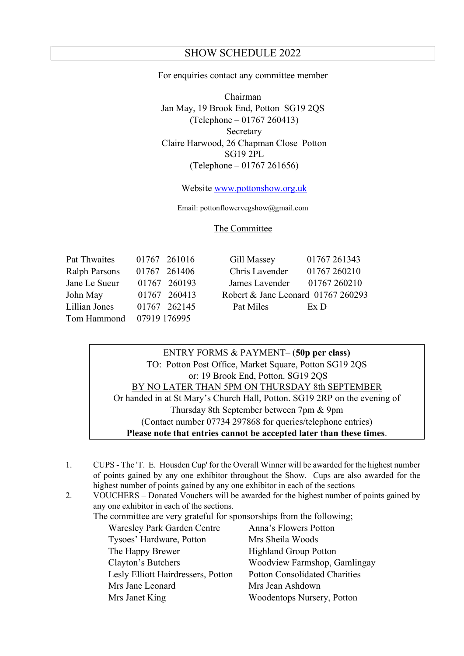### SHOW SCHEDULE 2022

For enquiries contact any committee member

Chairman Jan May, 19 Brook End, Potton SG19 2QS (Telephone – 01767 260413) Secretary Claire Harwood, 26 Chapman Close Potton SG19 2PL (Telephone – 01767 261656)

Website www.pottonshow.org.uk

Email: pottonflowervegshow@gmail.com

#### The Committee

| Pat Thwaites             | 01767 261016 | Gill Massey                        | 01767 261343    |
|--------------------------|--------------|------------------------------------|-----------------|
| <b>Ralph Parsons</b>     | 01767 261406 | Chris Lavender                     | 01767 260210    |
| Jane Le Sueur            | 01767 260193 | James Lavender                     | 01767 260210    |
| John May                 | 01767 260413 | Robert & Jane Leonard 01767 260293 |                 |
| Lillian Jones            | 01767 262145 | Pat Miles                          | Ex <sub>D</sub> |
| Tom Hammond 07919 176995 |              |                                    |                 |

ENTRY FORMS & PAYMENT– (50p per class) TO: Potton Post Office, Market Square, Potton SG19 2QS or: 19 Brook End, Potton. SG19 2QS BY NO LATER THAN 5PM ON THURSDAY 8th SEPTEMBER Or handed in at St Mary's Church Hall, Potton. SG19 2RP on the evening of Thursday 8th September between 7pm & 9pm (Contact number 07734 297868 for queries/telephone entries) Please note that entries cannot be accepted later than these times.

- 1. CUPS The 'T. E. Housden Cup' for the Overall Winner will be awarded for the highest number of points gained by any one exhibitor throughout the Show. Cups are also awarded for the highest number of points gained by any one exhibitor in each of the sections
- 2. VOUCHERS Donated Vouchers will be awarded for the highest number of points gained by any one exhibitor in each of the sections.

The committee are very grateful for sponsorships from the following;

| <b>Waresley Park Garden Centre</b> | Anna's Flowers Potton                |
|------------------------------------|--------------------------------------|
| Tysoes' Hardware, Potton           | Mrs Sheila Woods                     |
| The Happy Brewer                   | <b>Highland Group Potton</b>         |
| Clayton's Butchers                 | Woodview Farmshop, Gamlingay         |
| Lesly Elliott Hairdressers, Potton | <b>Potton Consolidated Charities</b> |
| Mrs Jane Leonard                   | Mrs Jean Ashdown                     |
| Mrs Janet King                     | Woodentops Nursery, Potton           |
|                                    |                                      |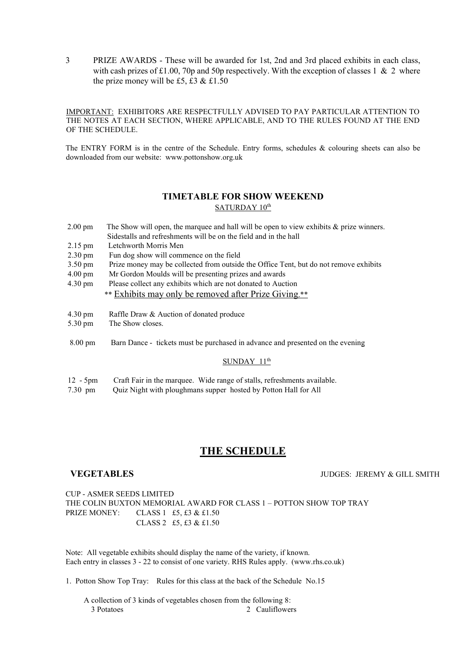3 PRIZE AWARDS - These will be awarded for 1st, 2nd and 3rd placed exhibits in each class, with cash prizes of £1.00, 70p and 50p respectively. With the exception of classes 1 & 2 where the prize money will be £5, £3 & £1.50

#### IMPORTANT: EXHIBITORS ARE RESPECTFULLY ADVISED TO PAY PARTICULAR ATTENTION TO THE NOTES AT EACH SECTION, WHERE APPLICABLE, AND TO THE RULES FOUND AT THE END OF THE SCHEDULE.

The ENTRY FORM is in the centre of the Schedule. Entry forms, schedules & colouring sheets can also be downloaded from our website: www.pottonshow.org.uk

### TIMETABLE FOR SHOW WEEKEND SATURDAY 10<sup>th</sup>

- 2.00 pm The Show will open, the marquee and hall will be open to view exhibits & prize winners. Sidestalls and refreshments will be on the field and in the hall 2.15 pm Letchworth Morris Men 2.30 pm Fun dog show will commence on the field 3.50 pm Prize money may be collected from outside the Office Tent, but do not remove exhibits 4.00 pm Mr Gordon Moulds will be presenting prizes and awards
- 4.30 pm Please collect any exhibits which are not donated to Auction
	- \*\* Exhibits may only be removed after Prize Giving.\*\*
- 4.30 pm Raffle Draw & Auction of donated produce
- 5.30 pm The Show closes.
- 8.00 pm Barn Dance tickets must be purchased in advance and presented on the evening

#### SUNDAY 11<sup>th</sup>

- 12 5pm Craft Fair in the marquee. Wide range of stalls, refreshments available.
- 7.30 pm Quiz Night with ploughmans supper hosted by Potton Hall for All

### THE SCHEDULE

**VEGETABLES** JUDGES: JEREMY & GILL SMITH

CUP - ASMER SEEDS LIMITED THE COLIN BUXTON MEMORIAL AWARD FOR CLASS 1 – POTTON SHOW TOP TRAY PRIZE MONEY: CLASS 1 £5, £3 & £1.50 CLASS 2 £5, £3 & £1.50

Note: All vegetable exhibits should display the name of the variety, if known. Each entry in classes 3 - 22 to consist of one variety. RHS Rules apply. (www.rhs.co.uk)

1. Potton Show Top Tray: Rules for this class at the back of the Schedule No.15

A collection of 3 kinds of vegetables chosen from the following 8: 3 Potatoes 2 Cauliflowers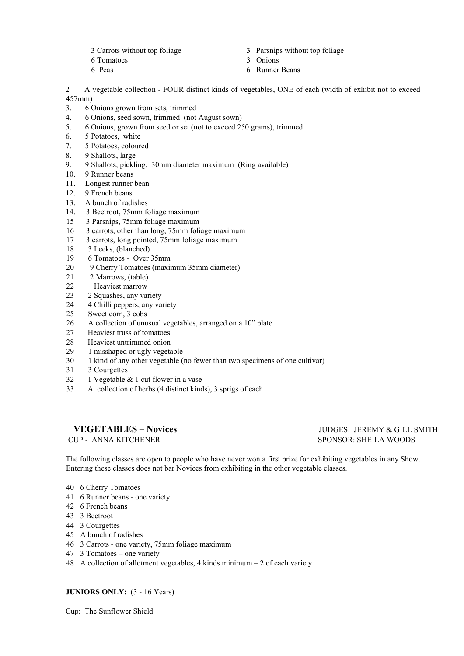- 
- 6 Tomatoes 3 Onions
- 
- 3 Carrots without top foliage 3 Parsnips without top foliage
	-
- 6 Peas 6 Runner Beans

2 A vegetable collection - FOUR distinct kinds of vegetables, ONE of each (width of exhibit not to exceed 457mm)

- 3. 6 Onions grown from sets, trimmed
- 4. 6 Onions, seed sown, trimmed (not August sown)
- 5. 6 Onions, grown from seed or set (not to exceed 250 grams), trimmed
- 6. 5 Potatoes, white
- 7. 5 Potatoes, coloured
- 8. 9 Shallots, large
- 9. 9 Shallots, pickling, 30mm diameter maximum (Ring available)
- 10. 9 Runner beans
- 11. Longest runner bean
- 12. 9 French beans
- 13. A bunch of radishes
- 14. 3 Beetroot, 75mm foliage maximum
- 15 3 Parsnips, 75mm foliage maximum
- 16 3 carrots, other than long, 75mm foliage maximum
- 17 3 carrots, long pointed, 75mm foliage maximum
- 18 3 Leeks, (blanched)
- 19 6 Tomatoes Over 35mm
- 20 9 Cherry Tomatoes (maximum 35mm diameter)
- 21 2 Marrows, (table)
- 22 Heaviest marrow
- 23 2 Squashes, any variety
- 24 4 Chilli peppers, any variety
- 25 Sweet corn, 3 cobs
- 26 A collection of unusual vegetables, arranged on a 10" plate
- 27 Heaviest truss of tomatoes
- 28 Heaviest untrimmed onion
- 29 1 misshaped or ugly vegetable
- 30 1 kind of any other vegetable (no fewer than two specimens of one cultivar)
- 31 3 Courgettes
- 32 1 Vegetable & 1 cut flower in a vase
- 33 A collection of herbs (4 distinct kinds), 3 sprigs of each

VEGETABLES – Novices JUDGES: JEREMY & GILL SMITH CUP - ANNA KITCHENER SPONSOR: SHEILA WOODS

The following classes are open to people who have never won a first prize for exhibiting vegetables in any Show. Entering these classes does not bar Novices from exhibiting in the other vegetable classes.

- 40 6 Cherry Tomatoes
- 41 6 Runner beans one variety
- 42 6 French beans
- 43 3 Beetroot
- 44 3 Courgettes
- 45 A bunch of radishes
- 46 3 Carrots one variety, 75mm foliage maximum
- 47 3 Tomatoes one variety
- 48 A collection of allotment vegetables, 4 kinds minimum  $-2$  of each variety

#### JUNIORS ONLY: (3 - 16 Years)

Cup: The Sunflower Shield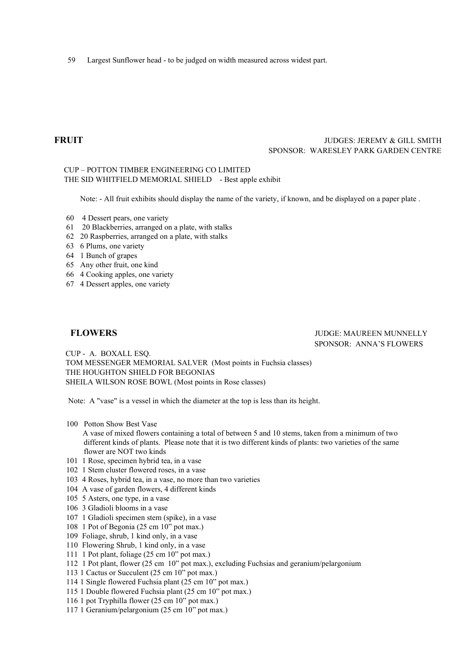59 Largest Sunflower head - to be judged on width measured across widest part.

#### **FRUIT** JUDGES: JEREMY & GILL SMITH SPONSOR: WARESLEY PARK GARDEN CENTRE

#### CUP – POTTON TIMBER ENGINEERING CO LIMITED THE SID WHITFIELD MEMORIAL SHIELD - Best apple exhibit

Note: - All fruit exhibits should display the name of the variety, if known, and be displayed on a paper plate .

- 60 4 Dessert pears, one variety
- 61 20 Blackberries, arranged on a plate, with stalks
- 62 20 Raspberries, arranged on a plate, with stalks
- 63 6 Plums, one variety
- 64 1 Bunch of grapes
- 65 Any other fruit, one kind
- 66 4 Cooking apples, one variety
- 67 4 Dessert apples, one variety

#### FLOWERS JUDGE: MAUREEN MUNNELLY SPONSOR: ANNA'S FLOWERS

CUP - A. BOXALL ESQ. TOM MESSENGER MEMORIAL SALVER (Most points in Fuchsia classes) THE HOUGHTON SHIELD FOR BEGONIAS SHEILA WILSON ROSE BOWL (Most points in Rose classes)

Note: A "vase" is a vessel in which the diameter at the top is less than its height.

#### 100 Potton Show Best Vase

 A vase of mixed flowers containing a total of between 5 and 10 stems, taken from a minimum of two different kinds of plants. Please note that it is two different kinds of plants: two varieties of the same flower are NOT two kinds

- 101 1 Rose, specimen hybrid tea, in a vase
- 102 1 Stem cluster flowered roses, in a vase
- 103 4 Roses, hybrid tea, in a vase, no more than two varieties
- 104 A vase of garden flowers, 4 different kinds
- 105 5 Asters, one type, in a vase
- 106 3 Gladioli blooms in a vase
- 107 1 Gladioli specimen stem (spike), in a vase
- 108 1 Pot of Begonia (25 cm 10" pot max.)
- 109 Foliage, shrub, 1 kind only, in a vase
- 110 Flowering Shrub, 1 kind only, in a vase
- 111 1 Pot plant, foliage (25 cm 10" pot max.)
- 112 1 Pot plant, flower (25 cm 10" pot max.), excluding Fuchsias and geranium/pelargonium
- 113 1 Cactus or Succulent (25 cm 10" pot max.)
- 114 1 Single flowered Fuchsia plant (25 cm 10" pot max.)
- 115 1 Double flowered Fuchsia plant (25 cm 10" pot max.)
- 116 1 pot Tryphilla flower (25 cm 10" pot max.)
- 117 1 Geranium/pelargonium (25 cm 10" pot max.)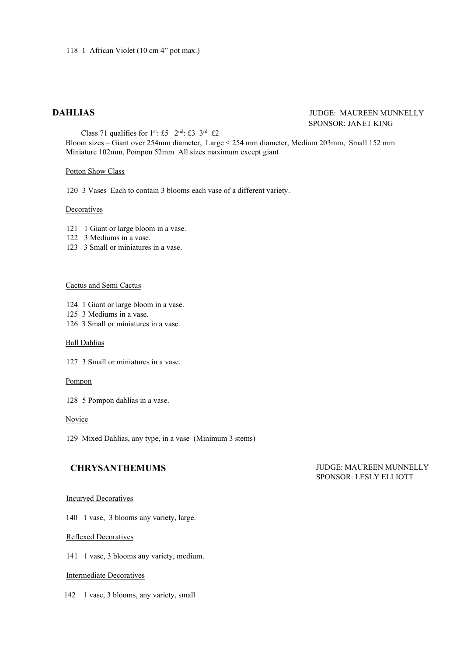### DAHLIAS JUDGE: MAUREEN MUNNELLY

Class 71 qualifies for 1<sup>st</sup>: £5  $2<sup>nd</sup>$ : £3  $3<sup>rd</sup>$  £2

Bloom sizes – Giant over 254mm diameter, Large < 254 mm diameter, Medium 203mm, Small 152 mm Miniature 102mm, Pompon 52mm All sizes maximum except giant

#### Potton Show Class

120 3 Vases Each to contain 3 blooms each vase of a different variety.

#### Decoratives

- 121 1 Giant or large bloom in a vase.
- 122 3 Mediums in a vase.
- 123 3 Small or miniatures in a vase.

#### Cactus and Semi Cactus

- 124 1 Giant or large bloom in a vase.
- 125 3 Mediums in a vase.
- 126 3 Small or miniatures in a vase.

#### Ball Dahlias

127 3 Small or miniatures in a vase.

#### Pompon

128 5 Pompon dahlias in a vase.

#### Novice

129 Mixed Dahlias, any type, in a vase (Minimum 3 stems)

### CHRYSANTHEMUMS

#### Incurved Decoratives

140 1 vase, 3 blooms any variety, large.

#### Reflexed Decoratives

141 1 vase, 3 blooms any variety, medium.

#### Intermediate Decoratives

142 1 vase, 3 blooms, any variety, small

# SPONSOR: JANET KING

### JUDGE: MAUREEN MUNNELLY SPONSOR: LESLY ELLIOTT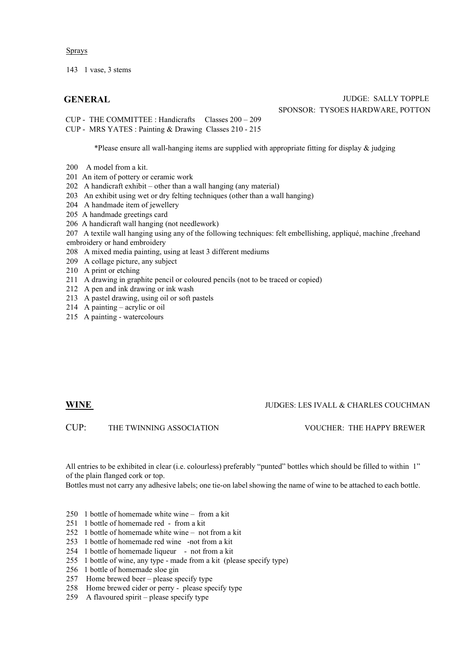Sprays

143 1 vase, 3 stems

### GENERAL JUDGE: SALLY TOPPLE SPONSOR: TYSOES HARDWARE, POTTON

CUP - THE COMMITTEE : Handicrafts Classes 200 – 209

CUP - MRS YATES : Painting & Drawing Classes 210 - 215

\*Please ensure all wall-hanging items are supplied with appropriate fitting for display & judging

- 200 A model from a kit.
- 201 An item of pottery or ceramic work
- 202 A handicraft exhibit other than a wall hanging (any material)
- 203 An exhibit using wet or dry felting techniques (other than a wall hanging)
- 204 A handmade item of jewellery
- 205 A handmade greetings card
- 206 A handicraft wall hanging (not needlework)
- 207 A textile wall hanging using any of the following techniques: felt embellishing, appliqué, machine ,freehand embroidery or hand embroidery
- 208 A mixed media painting, using at least 3 different mediums
- 209 A collage picture, any subject
- 210 A print or etching
- 211 A drawing in graphite pencil or coloured pencils (not to be traced or copied)
- 212 A pen and ink drawing or ink wash
- 213 A pastel drawing, using oil or soft pastels
- 214 A painting acrylic or oil
- 215 A painting watercolours

#### WINE JUDGES: LES IVALL & CHARLES COUCHMAN

CUP: THE TWINNING ASSOCIATION VOUCHER: THE HAPPY BREWER

All entries to be exhibited in clear (i.e. colourless) preferably "punted" bottles which should be filled to within 1" of the plain flanged cork or top.

Bottles must not carry any adhesive labels; one tie-on label showing the name of wine to be attached to each bottle.

- 250 1 bottle of homemade white wine from a kit
- 251 1 bottle of homemade red from a kit
- 252 1 bottle of homemade white wine not from a kit
- 253 1 bottle of homemade red wine -not from a kit
- 254 1 bottle of homemade liqueur not from a kit
- 255 1 bottle of wine, any type made from a kit (please specify type)
- 256 1 bottle of homemade sloe gin
- 257 Home brewed beer please specify type
- 258 Home brewed cider or perry please specify type
- 259 A flavoured spirit please specify type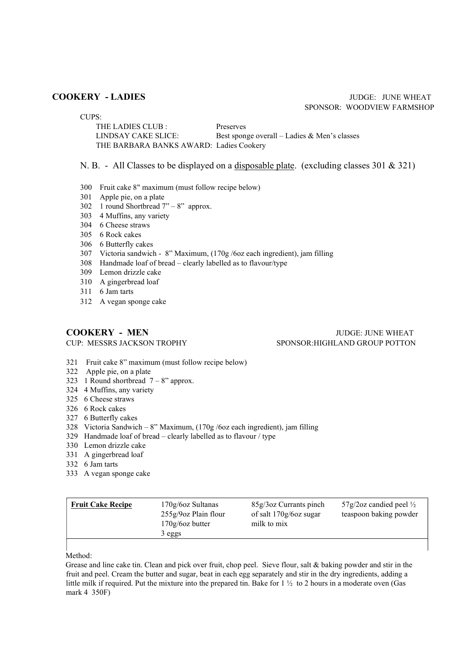#### **COOKERY - LADIES** JUDGE: JUNE WHEAT SPONSOR: WOODVIEW FARMSHOP

 $CIIPS$ 

THE LADIES CLUB : Preserves LINDSAY CAKE SLICE: Best sponge overall – Ladies & Men's classes THE BARBARA BANKS AWARD: Ladies Cookery

N. B. - All Classes to be displayed on a disposable plate. (excluding classes 301 & 321)

- 300 Fruit cake 8" maximum (must follow recipe below)
- 301 Apple pie, on a plate
- 302 1 round Shortbread  $7" 8"$  approx.
- 303 4 Muffins, any variety
- 304 6 Cheese straws
- 305 6 Rock cakes
- 306 6 Butterfly cakes
- 307 Victoria sandwich 8" Maximum, (170g /6oz each ingredient), jam filling
- 308 Handmade loaf of bread clearly labelled as to flavour/type
- 309 Lemon drizzle cake
- 310 A gingerbread loaf
- 311 6 Jam tarts
- 312 A vegan sponge cake

#### **COOKERY - MEN JUDGE: JUNE WHEAT** CUP: MESSRS JACKSON TROPHY SPONSOR:HIGHLAND GROUP POTTON

- 
- 321 Fruit cake 8" maximum (must follow recipe below)
- 322 Apple pie, on a plate
- 323 1 Round shortbread  $7 8$ " approx.
- 324 4 Muffins, any variety
- 325 6 Cheese straws
- 326 6 Rock cakes
- 327 6 Butterfly cakes
- 328 Victoria Sandwich 8" Maximum, (170g /6oz each ingredient), jam filling
- 329 Handmade loaf of bread clearly labelled as to flavour / type
- 330 Lemon drizzle cake
- 331 A gingerbread loaf
- 332 6 Jam tarts
- 333 A vegan sponge cake

| $170g/6oz$ butter<br>milk to mix<br>3 eggs | <b>Fruit Cake Recipe</b> | $170g/6$ oz Sultanas<br>$255g/9$ oz Plain flour | 85g/3oz Currants pinch<br>of salt $170g/6$ oz sugar | $57g/2$ oz candied peel $\frac{1}{2}$<br>teaspoon baking powder |
|--------------------------------------------|--------------------------|-------------------------------------------------|-----------------------------------------------------|-----------------------------------------------------------------|
|--------------------------------------------|--------------------------|-------------------------------------------------|-----------------------------------------------------|-----------------------------------------------------------------|

Method:

Grease and line cake tin. Clean and pick over fruit, chop peel. Sieve flour, salt & baking powder and stir in the fruit and peel. Cream the butter and sugar, beat in each egg separately and stir in the dry ingredients, adding a little milk if required. Put the mixture into the prepared tin. Bake for 1 ½ to 2 hours in a moderate oven (Gas mark 4 350F)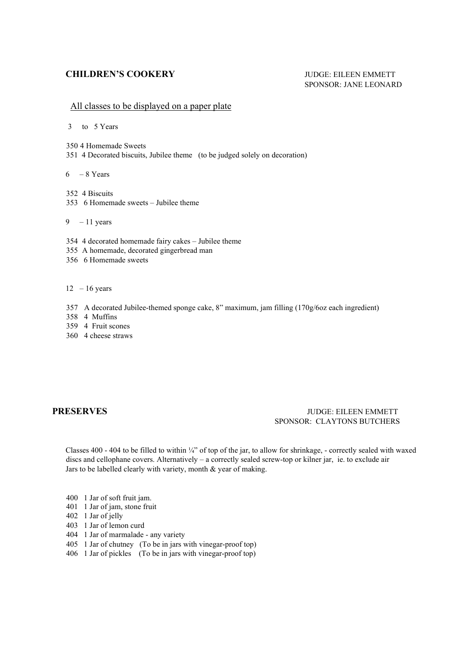#### CHILDREN'S COOKERY JUDGE: EILEEN EMMETT

## SPONSOR: JANE LEONARD

#### All classes to be displayed on a paper plate

3 to 5 Years

350 4 Homemade Sweets

351 4 Decorated biscuits, Jubilee theme (to be judged solely on decoration)

 $6 - 8$  Years

352 4 Biscuits

353 6 Homemade sweets – Jubilee theme

 $9 - 11$  years

- 354 4 decorated homemade fairy cakes Jubilee theme
- 355 A homemade, decorated gingerbread man
- 356 6 Homemade sweets

#### $12 - 16$  years

- 357 A decorated Jubilee-themed sponge cake, 8" maximum, jam filling (170g/6oz each ingredient)
- 358 4 Muffins
- 359 4 Fruit scones
- 360 4 cheese straws

#### PRESERVES JUDGE: EILEEN EMMETT SPONSOR: CLAYTONS BUTCHERS

Classes 400 - 404 to be filled to within  $\frac{1}{4}$  of top of the jar, to allow for shrinkage, - correctly sealed with waxed discs and cellophane covers. Alternatively – a correctly sealed screw-top or kilner jar, ie. to exclude air Jars to be labelled clearly with variety, month & year of making.

- 400 1 Jar of soft fruit jam.
- 401 1 Jar of jam, stone fruit
- 402 1 Jar of jelly
- 403 1 Jar of lemon curd
- 404 1 Jar of marmalade any variety
- 405 1 Jar of chutney (To be in jars with vinegar-proof top)
- 406 1 Jar of pickles (To be in jars with vinegar-proof top)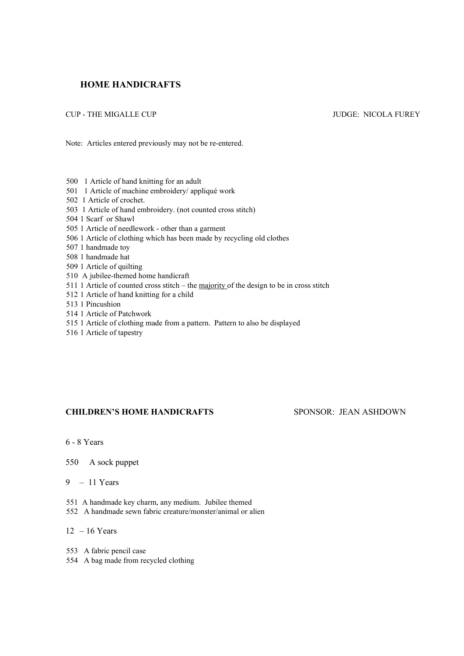### HOME HANDICRAFTS

#### CUP - THE MIGALLE CUP JUDGE: NICOLA FUREY

Note: Articles entered previously may not be re-entered.

- 500 1 Article of hand knitting for an adult
- 501 1 Article of machine embroidery/ appliqué work
- 502 1 Article of crochet.
- 503 1 Article of hand embroidery. (not counted cross stitch)
- 504 1 Scarf or Shawl
- 505 1 Article of needlework other than a garment
- 506 1 Article of clothing which has been made by recycling old clothes
- 507 1 handmade toy
- 508 1 handmade hat
- 509 1 Article of quilting
- 510 A jubilee-themed home handicraft
- 511 1 Article of counted cross stitch the majority of the design to be in cross stitch
- 512 1 Article of hand knitting for a child
- 513 1 Pincushion
- 514 1 Article of Patchwork
- 515 1 Article of clothing made from a pattern. Pattern to also be displayed
- 516 1 Article of tapestry

#### CHILDREN'S HOME HANDICRAFTS SPONSOR: JEAN ASHDOWN

6 - 8 Years

- 550 A sock puppet
- 9 11 Years
- 551 A handmade key charm, any medium. Jubilee themed
- 552 A handmade sewn fabric creature/monster/animal or alien

12 – 16 Years

- 553 A fabric pencil case
- 554 A bag made from recycled clothing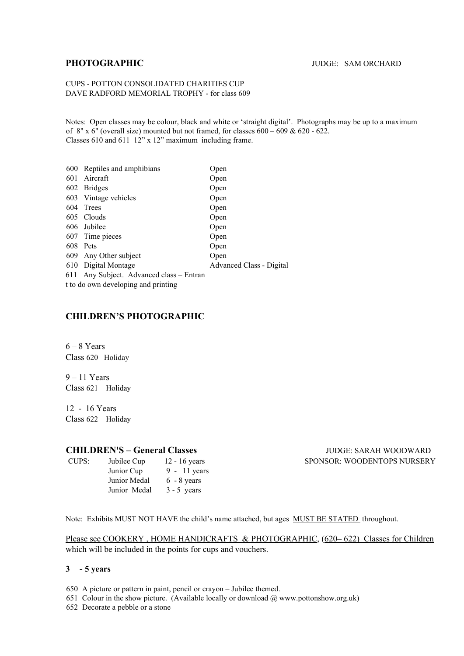#### **PHOTOGRAPHIC** JUDGE: SAM ORCHARD

#### CUPS - POTTON CONSOLIDATED CHARITIES CUP DAVE RADFORD MEMORIAL TROPHY - for class 609

Notes: Open classes may be colour, black and white or 'straight digital'. Photographs may be up to a maximum of  $8"$  x 6" (overall size) mounted but not framed, for classes  $600 - 609$  &  $620 - 622$ . Classes  $610$  and  $611 \ 12$ " x 12" maximum including frame.

|                                     | 600 Reptiles and amphibians              | Open                     |  |  |
|-------------------------------------|------------------------------------------|--------------------------|--|--|
|                                     | 601 Aircraft                             | Open                     |  |  |
|                                     | 602 Bridges                              | Open                     |  |  |
|                                     | 603 Vintage vehicles                     | Open                     |  |  |
|                                     | 604 Trees                                | Open                     |  |  |
|                                     | 605 Clouds                               | Open                     |  |  |
|                                     | 606 Jubilee                              | Open                     |  |  |
|                                     | 607 Time pieces                          | Open                     |  |  |
| 608 Pets                            |                                          | Open                     |  |  |
|                                     | 609 Any Other subject                    | Open                     |  |  |
|                                     | 610 Digital Montage                      | Advanced Class - Digital |  |  |
|                                     | 611 Any Subject. Advanced class – Entran |                          |  |  |
| t to do own developing and printing |                                          |                          |  |  |

### CHILDREN'S PHOTOGRAPHIC

 $6 - 8$  Years Class 620 Holiday

 $9 - 11$  Years Class 621 Holiday

12 - 16 Years Class 622 Holiday

### CHILDREN'S – General Classes JUDGE: SARAH WOODWARD

| CUPS: | Jubilee Cup  | $12 - 16$ years |
|-------|--------------|-----------------|
|       | Junior Cup   | $9 - 11$ years  |
|       | Junior Medal | $6 - 8$ years   |
|       | Junior Medal | $3 - 5$ years   |

SPONSOR: WOODENTOPS NURSERY

Note: Exhibits MUST NOT HAVE the child's name attached, but ages MUST BE STATED throughout.

Please see COOKERY, HOME HANDICRAFTS & PHOTOGRAPHIC, (620-622) Classes for Children which will be included in the points for cups and vouchers.

#### $3 - 5$  years

650 A picture or pattern in paint, pencil or crayon – Jubilee themed.

651 Colour in the show picture. (Available locally or download @ www.pottonshow.org.uk)

652 Decorate a pebble or a stone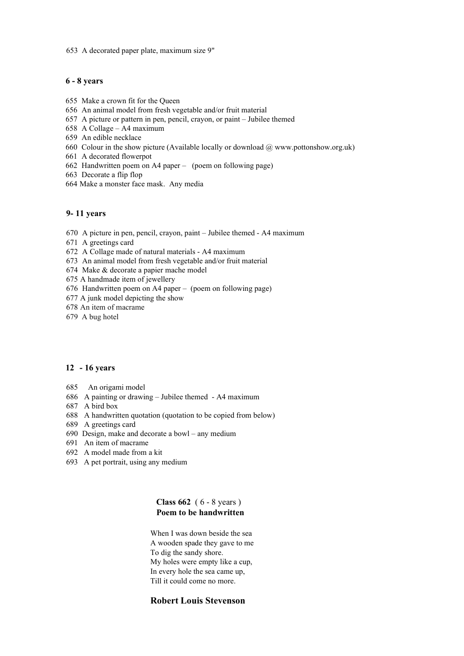653 A decorated paper plate, maximum size 9"

#### 6 - 8 years

- 655 Make a crown fit for the Queen
- 656 An animal model from fresh vegetable and/or fruit material
- 657 A picture or pattern in pen, pencil, crayon, or paint Jubilee themed
- 658 A Collage A4 maximum
- 659 An edible necklace
- 660 Colour in the show picture (Available locally or download  $\hat{\omega}$  www.pottonshow.org.uk)
- 661 A decorated flowerpot
- 662 Handwritten poem on A4 paper (poem on following page)
- 663 Decorate a flip flop
- 664 Make a monster face mask. Any media

#### 9- 11 years

- 670 A picture in pen, pencil, crayon, paint Jubilee themed A4 maximum
- 671 A greetings card
- 672 A Collage made of natural materials A4 maximum
- 673 An animal model from fresh vegetable and/or fruit material
- 674 Make & decorate a papier mache model
- 675 A handmade item of jewellery
- 676 Handwritten poem on A4 paper (poem on following page)
- 677 A junk model depicting the show
- 678 An item of macrame
- 679 A bug hotel

#### 12 - 16 years

- 685 An origami model
- 686 A painting or drawing Jubilee themed A4 maximum
- 687 A bird box
- 688 A handwritten quotation (quotation to be copied from below)
- 689 A greetings card
- 690 Design, make and decorate a bowl any medium
- 691 An item of macrame
- 692 A model made from a kit
- 693 A pet portrait, using any medium

#### Class 662 ( 6 - 8 years ) Poem to be handwritten

When I was down beside the sea A wooden spade they gave to me To dig the sandy shore. My holes were empty like a cup, In every hole the sea came up, Till it could come no more.

#### Robert Louis Stevenson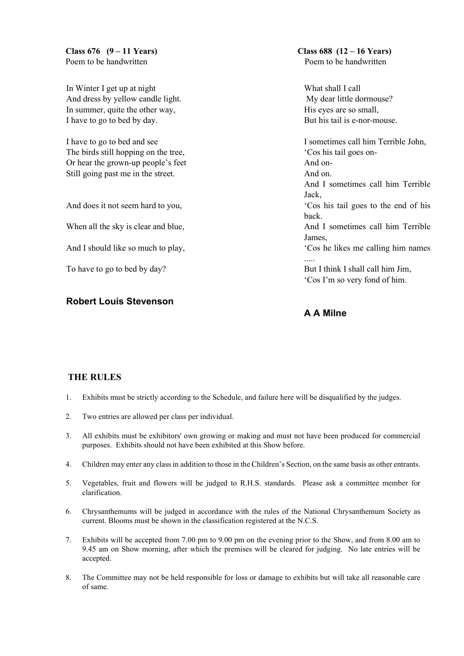Class 676 (9 – 11 Years) Class 688 (12 – 16 Years) Poem to be handwritten **Poem to be handwritten** Poem to be handwritten

In Winter I get up at night What shall I call And dress by yellow candle light. My dear little dormouse? In summer, quite the other way, His eyes are so small, I have to go to bed by day.

The birds still hopping on the tree, 'Cos his tail goes on-Or hear the grown-up people's feet And on-Still going past me in the street. And on.

### Robert Louis Stevenson

But his tail is e-nor-mouse.

I have to go to bed and see I sometimes call him Terrible John, And I sometimes call him Terrible Jack, And does it not seem hard to you,  $\cos$  his tail goes to the end of his back. When all the sky is clear and blue, And I sometimes call him Terrible James, And I should like so much to play,  $\cos h$  is the likes me calling him names ..... To have to go to bed by day? But I think I shall call him Jim, 'Cos I'm so very fond of him.

A A Milne

#### THE RULES

- 1. Exhibits must be strictly according to the Schedule, and failure here will be disqualified by the judges.
- 2. Two entries are allowed per class per individual.
- 3. All exhibits must be exhibitors' own growing or making and must not have been produced for commercial purposes. Exhibits should not have been exhibited at this Show before.
- 4. Children may enter any class in addition to those in the Children's Section, on the same basis as other entrants.
- 5. Vegetables, fruit and flowers will be judged to R.H.S. standards. Please ask a committee member for clarification.
- 6. Chrysanthemums will be judged in accordance with the rules of the National Chrysanthemum Society as current. Blooms must be shown in the classification registered at the N.C.S.
- 7. Exhibits will be accepted from 7.00 pm to 9.00 pm on the evening prior to the Show, and from 8.00 am to 9.45 am on Show morning, after which the premises will be cleared for judging. No late entries will be accepted.
- 8. The Committee may not be held responsible for loss or damage to exhibits but will take all reasonable care of same.